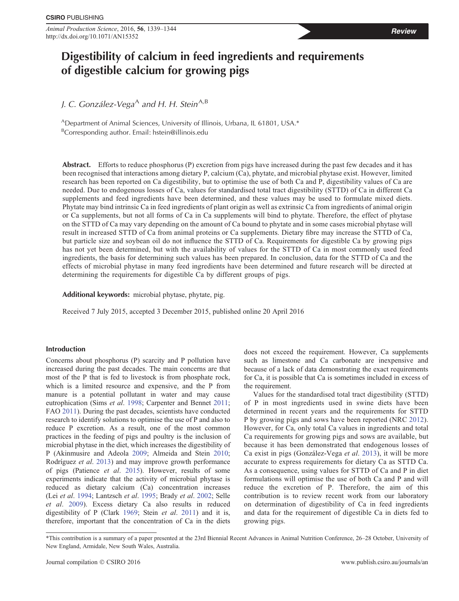*Animal Production Science*, 2016, **56**, 1339–1344 Review http://dx.doi.org/10.1071/AN15352

# **Digestibility of calcium in feed ingredients and requirements of digestible calcium for growing pigs**

*J. C. González-Vega*<sup>A</sup> and H. H. Stein<sup>A,B</sup>

<sup>A</sup>Department of Animal Sciences, University of Illinois, Urbana, IL 61801, USA.\* <sup>B</sup>Corresponding author. Email: [hstein@illinois.edu](mailto:hstein@illinois.edu)

**Abstract.** Efforts to reduce phosphorus (P) excretion from pigs have increased during the past few decades and it has been recognised that interactions among dietary P, calcium (Ca), phytate, and microbial phytase exist. However, limited research has been reported on Ca digestibility, but to optimise the use of both Ca and P, digestibility values of Ca are needed. Due to endogenous losses of Ca, values for standardised total tract digestibility (STTD) of Ca in different Ca supplements and feed ingredients have been determined, and these values may be used to formulate mixed diets. Phytate may bind intrinsic Ca in feed ingredients of plant origin as well as extrinsic Ca from ingredients of animal origin or Ca supplements, but not all forms of Ca in Ca supplements will bind to phytate. Therefore, the effect of phytase on the STTD of Ca may vary depending on the amount of Ca bound to phytate and in some cases microbial phytase will result in increased STTD of Ca from animal proteins or Ca supplements. Dietary fibre may increase the STTD of Ca, but particle size and soybean oil do not influence the STTD of Ca. Requirements for digestible Ca by growing pigs has not yet been determined, but with the availability of values for the STTD of Ca in most commonly used feed ingredients, the basis for determining such values has been prepared. In conclusion, data for the STTD of Ca and the effects of microbial phytase in many feed ingredients have been determined and future research will be directed at determining the requirements for digestible Ca by different groups of pigs.

**Additional keywords:** microbial phytase, phytate, pig.

Received 7 July 2015, accepted 3 December 2015, published online 20 April 2016

# **Introduction**

Concerns about phosphorus (P) scarcity and P pollution have increased during the past decades. The main concerns are that most of the P that is fed to livestock is from phosphate rock, which is a limited resource and expensive, and the P from manure is a potential pollutant in water and may cause eutrophication (Sims *et al*. [1998](#page-5-0); Carpenter and Bennet [2011](#page-4-0); FAO [2011\)](#page-4-0). During the past decades, scientists have conducted research to identify solutions to optimise the use of P and also to reduce P excretion. As a result, one of the most common practices in the feeding of pigs and poultry is the inclusion of microbial phytase in the diet, which increases the digestibility of P (Akinmusire and Adeola [2009;](#page-3-0) Almeida and Stein [2010](#page-3-0); Rodríguez *et al*. [2013](#page-5-0)) and may improve growth performance of pigs (Patience *et al*. [2015\)](#page-4-0). However, results of some experiments indicate that the activity of microbial phytase is reduced as dietary calcium (Ca) concentration increases (Lei *et al*. [1994;](#page-4-0) Lantzsch *et al*. [1995](#page-4-0); Brady *et al*. [2002;](#page-3-0) Selle *et al*. [2009](#page-5-0)). Excess dietary Ca also results in reduced digestibility of P (Clark [1969;](#page-4-0) Stein *et al*. [2011](#page-5-0)) and it is, therefore, important that the concentration of Ca in the diets does not exceed the requirement. However, Ca supplements such as limestone and Ca carbonate are inexpensive and because of a lack of data demonstrating the exact requirements for Ca, it is possible that Ca is sometimes included in excess of the requirement.

Values for the standardised total tract digestibility (STTD) of P in most ingredients used in swine diets have been determined in recent years and the requirements for STTD P by growing pigs and sows have been reported (NRC [2012](#page-4-0)). However, for Ca, only total Ca values in ingredients and total Ca requirements for growing pigs and sows are available, but because it has been demonstrated that endogenous losses of Ca exist in pigs (González-Vega *et al*. [2013](#page-4-0)), it will be more accurate to express requirements for dietary Ca as STTD Ca. As a consequence, using values for STTD of Ca and P in diet formulations will optimise the use of both Ca and P and will reduce the excretion of P. Therefore, the aim of this contribution is to review recent work from our laboratory on determination of digestibility of Ca in feed ingredients and data for the requirement of digestible Ca in diets fed to growing pigs.

<sup>\*</sup>This contribution is a summary of a paper presented at the 23rd Biennial Recent Advances in Animal Nutrition Conference, 26–28 October, University of New England, Armidale, New South Wales, Australia.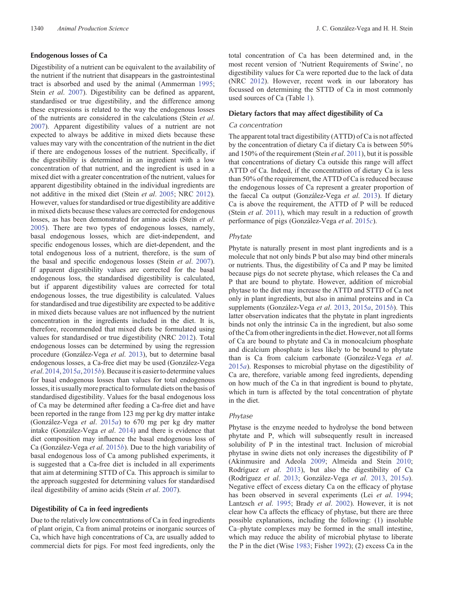## **Endogenous losses of Ca**

Digestibility of a nutrient can be equivalent to the availability of the nutrient if the nutrient that disappears in the gastrointestinal tract is absorbed and used by the animal (Ammerman [1995](#page-3-0); Stein *et al*. [2007\)](#page-5-0). Digestibility can be defined as apparent, standardised or true digestibility, and the difference among these expressions is related to the way the endogenous losses of the nutrients are considered in the calculations (Stein *et al*. [2007\)](#page-5-0). Apparent digestibility values of a nutrient are not expected to always be additive in mixed diets because these values may vary with the concentration of the nutrient in the diet if there are endogenous losses of the nutrient. Specifically, if the digestibility is determined in an ingredient with a low concentration of that nutrient, and the ingredient is used in a mixed diet with a greater concentration of the nutrient, values for apparent digestibility obtained in the individual ingredients are not additive in the mixed diet (Stein *et al*. [2005;](#page-5-0) NRC [2012](#page-4-0)). However, values for standardised or true digestibility are additive in mixed diets because these values are corrected for endogenous losses, as has been demonstrated for amino acids (Stein *et al*. [2005\)](#page-5-0). There are two types of endogenous losses, namely, basal endogenous losses, which are diet-independent, and specific endogenous losses, which are diet-dependent, and the total endogenous loss of a nutrient, therefore, is the sum of the basal and specific endogenous losses (Stein *et al*. [2007](#page-5-0)). If apparent digestibility values are corrected for the basal endogenous loss, the standardised digestibility is calculated, but if apparent digestibility values are corrected for total endogenous losses, the true digestibility is calculated. Values for standardised and true digestibility are expected to be additive in mixed diets because values are not influenced by the nutrient concentration in the ingredients included in the diet. It is, therefore, recommended that mixed diets be formulated using values for standardised or true digestibility (NRC [2012\)](#page-4-0). Total endogenous losses can be determined by using the regression procedure (González-Vega *et al*. [2013](#page-4-0)), but to determine basal endogenous losses, a Ca-free diet may be used (González-Vega *et al*. [2014](#page-4-0), [2015](#page-4-0)*a*, [2015](#page-4-0)*b*). Becauseit is easierto determine values for basal endogenous losses than values for total endogenous losses, it is usually more practical to formulate diets on the basis of standardised digestibility. Values for the basal endogenous loss of Ca may be determined after feeding a Ca-free diet and have been reported in the range from 123 mg per kg dry matter intake (González-Vega *et al*. [2015](#page-4-0)*a*) to 670 mg per kg dry matter intake (González-Vega *et al*. [2014\)](#page-4-0) and there is evidence that diet composition may influence the basal endogenous loss of Ca (González-Vega *et al*. [2015](#page-4-0)*b*). Due to the high variability of basal endogenous loss of Ca among published experiments, it is suggested that a Ca-free diet is included in all experiments that aim at determining STTD of Ca. This approach is similar to the approach suggested for determining values for standardised ileal digestibility of amino acids (Stein *et al*. [2007](#page-5-0)).

# **Digestibility of Ca in feed ingredients**

Due to the relatively low concentrations of Ca in feed ingredients of plant origin, Ca from animal proteins or inorganic sources of Ca, which have high concentrations of Ca, are usually added to commercial diets for pigs. For most feed ingredients, only the

total concentration of Ca has been determined and, in the most recent version of 'Nutrient Requirements of Swine', no digestibility values for Ca were reported due to the lack of data (NRC [2012](#page-4-0)). However, recent work in our laboratory has focussed on determining the STTD of Ca in most commonly used sources of Ca (Table [1\)](#page-2-0).

## **Dietary factors that may affect digestibility of Ca**

#### *Ca concentration*

The apparent total tract digestibility (ATTD) of Ca is not affected by the concentration of dietary Ca if dietary Ca is between 50% and 150% of the requirement (Stein *et al*. [2011\)](#page-5-0), but it is possible that concentrations of dietary Ca outside this range will affect ATTD of Ca. Indeed, if the concentration of dietary Ca is less than 50% of the requirement, the ATTD of Ca is reduced because the endogenous losses of Ca represent a greater proportion of the faecal Ca output (González-Vega *et al*. [2013](#page-4-0)). If dietary Ca is above the requirement, the ATTD of P will be reduced (Stein *et al*. [2011\)](#page-5-0), which may result in a reduction of growth performance of pigs (González-Vega *et al*. [2015](#page-4-0)*c*).

# *Phytate*

Phytate is naturally present in most plant ingredients and is a molecule that not only binds P but also may bind other minerals or nutrients. Thus, the digestibility of Ca and P may be limited because pigs do not secrete phytase, which releases the Ca and P that are bound to phytate. However, addition of microbial phytase to the diet may increase the ATTD and STTD of Ca not only in plant ingredients, but also in animal proteins and in Ca supplements (González-Vega *et al*. [2013](#page-4-0), [2015](#page-4-0)*a*, [2015](#page-4-0)*b*). This latter observation indicates that the phytate in plant ingredients binds not only the intrinsic Ca in the ingredient, but also some of the Ca from other ingredients in the diet. However, not all forms of Ca are bound to phytate and Ca in monocalcium phosphate and dicalcium phosphate is less likely to be bound to phytate than is Ca from calcium carbonate (González-Vega *et al*. [2015](#page-4-0)*a*). Responses to microbial phytase on the digestibility of Ca are, therefore, variable among feed ingredients, depending on how much of the Ca in that ingredient is bound to phytate, which in turn is affected by the total concentration of phytate in the diet.

#### *Phytase*

Phytase is the enzyme needed to hydrolyse the bond between phytate and P, which will subsequently result in increased solubility of P in the intestinal tract. Inclusion of microbial phytase in swine diets not only increases the digestibility of P (Akinmusire and Adeola [2009](#page-3-0); Almeida and Stein [2010](#page-3-0); Rodríguez *et al*. [2013](#page-5-0)), but also the digestibility of Ca (Rodríguez *et al*. [2013;](#page-5-0) González-Vega *et al*. [2013](#page-4-0), [2015](#page-4-0)*a*). Negative effect of excess dietary Ca on the efficacy of phytase has been observed in several experiments (Lei *et al*. [1994](#page-4-0); Lantzsch *et al*. [1995;](#page-4-0) Brady *et al*. [2002](#page-3-0)). However, it is not clear how Ca affects the efficacy of phytase, but there are three possible explanations, including the following: (1) insoluble Ca–phytate complexes may be formed in the small intestine, which may reduce the ability of microbial phytase to liberate the P in the diet (Wise [1983;](#page-5-0) Fisher [1992\)](#page-4-0); (2) excess Ca in the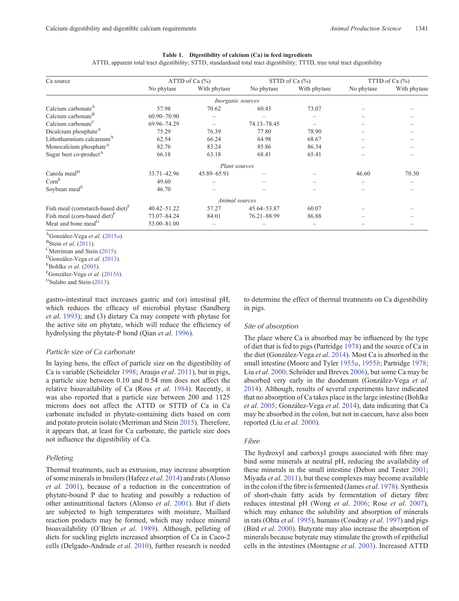# **Table 1. Digestibility of calcium (Ca) in feed ingredients**

ATTD, apparent total tract digestibility; STTD, standardised total tract digestibility; TTTD, true total tract digestibility

<span id="page-2-0"></span>

| Ca source                             | ATTD of Ca $(\% )$ |                          | STTD of Ca $(\% )$ |              | TTTD of Ca $(\% )$ |              |
|---------------------------------------|--------------------|--------------------------|--------------------|--------------|--------------------|--------------|
|                                       | No phytase         | With phytase             | No phytase         | With phytase | No phytase         | With phytase |
|                                       |                    | <i>Inorganic sources</i> |                    |              |                    |              |
| Calcium carbonate <sup>A</sup>        | 57.98              | 70.62                    | 60.43              | 73.07        |                    |              |
| Calcium carbonate <sup>B</sup>        | 60.90-70.90        |                          |                    |              |                    |              |
| Calcium carbonate <sup>C</sup>        | 69.96-74.29        |                          | 74.13-78.45        |              |                    |              |
| Dicalcium phosphate <sup>A</sup>      | 75.29              | 76.39                    | 77.80              | 78.90        |                    |              |
| Lithothamnium calcareum <sup>A</sup>  | 62.54              | 66.24                    | 64.98              | 68.67        |                    |              |
| Monocalcium phosphate <sup>A</sup>    | 82.76              | 83.24                    | 85.86              | 86.34        |                    |              |
| Sugar beet co-product <sup>A</sup>    | 66.18              | 63.18                    | 68.41              | 65.41        |                    |              |
|                                       |                    | Plant sources            |                    |              |                    |              |
| Canola meal <sup>D</sup>              | 33.71 - 42.96      | 45.89 - 65.91            |                    |              | 46.60              | 70.30        |
| Com <sup>E</sup>                      | 49.60              |                          |                    |              |                    |              |
| Soybean meal <sup>E</sup>             | 46.70              |                          |                    |              |                    |              |
|                                       |                    | Animal sources           |                    |              |                    |              |
| Fish meal (cornstarch-based diet) $F$ | $40.42 - 51.22$    | 57.27                    | 45.64-53.87        | 60.07        |                    |              |
| Fish meal (corn-based diet) $F$       | 73.07-84.24        | 84.01                    | 76.21-88.99        | 86.88        |                    |              |
| Meat and bone meal <sup>G</sup>       | 53.00-81.00        |                          |                    |              |                    |              |

AGonzález-Vega *et al*. ([2015](#page-4-0)*a*).

<sup>B</sup>Stein *et al.* ([2011\)](#page-5-0).<br><sup>C</sup>Merriman and Stein (2015).

<sup>D</sup>González-Vega et al. ([2013\)](#page-4-0).

 $E$ Bohlke *et al.* ([2005\)](#page-3-0).<br><sup>F</sup>González-Vega *et al.* (2015*b*).

<sup>G</sup>Sulabo and Stein ([2013\)](#page-5-0).

gastro-intestinal tract increases gastric and (or) intestinal pH, which reduces the efficacy of microbial phytase (Sandberg *et al*. [1993\)](#page-5-0); and (3) dietary Ca may compete with phytase for the active site on phytate, which will reduce the efficiency of hydrolysing the phytate-P bond (Qian *et al*. [1996\)](#page-4-0).

#### *Particle size of Ca carbonate*

In laying hens, the effect of particle size on the digestibility of Ca is variable (Scheideler [1998](#page-5-0); Araujo *et al*. [2011](#page-3-0)), but in pigs, a particle size between 0.10 and 0.54 mm does not affect the relative bioavailability of Ca (Ross *et al*. [1984](#page-5-0)). Recently, it was also reported that a particle size between 200 and 1125 microns does not affect the ATTD or STTD of Ca in Ca carbonate included in phytate-containing diets based on corn and potato protein isolate (Merriman and Stein [2015](#page-4-0)). Therefore, it appears that, at least for Ca carbonate, the particle size does not influence the digestibility of Ca.

#### *Pelleting*

Thermal treatments, such as extrusion, may increase absorption of some minerals in broilers (Hafeez *et al*. [2014](#page-4-0)) and rats (Alonso *et al*. [2001\)](#page-3-0), because of a reduction in the concentration of phytate-bound P due to heating and possibly a reduction of other antinutritional factors (Alonso *et al*. [2001](#page-3-0)). But if diets are subjected to high temperatures with moisture, Maillard reaction products may be formed, which may reduce mineral bioavailability (O'Brien *et al*. [1989\)](#page-4-0). Although, pelleting of diets for suckling piglets increased absorption of Ca in Caco-2 cells (Delgado-Andrade *et al*. [2010](#page-4-0)), further research is needed to determine the effect of thermal treatments on Ca digestibility in pigs.

## *Site of absorption*

The place where Ca is absorbed may be influenced by the type of diet that is fed to pigs (Partridge [1978\)](#page-4-0) and the source of Ca in the diet (González-Vega *et al*. [2014](#page-4-0)). Most Ca is absorbed in the small intestine (Moore and Tyler [1955](#page-4-0)*a*, [1955](#page-4-0)*b*; Partridge [1978](#page-4-0); Liu *et al*. [2000;](#page-4-0) Schröder and Breves [2006](#page-5-0)), but some Ca may be absorbed very early in the duodenum (González-Vega *et al*. [2014\)](#page-4-0). Although, results of several experiments have indicated that no absorption of Ca takes place in the large intestine (Bohlke *et al*. [2005;](#page-3-0) González-Vega *et al*. [2014\)](#page-4-0), data indicating that Ca may be absorbed in the colon, but not in caecum, have also been reported (Liu *et al*. [2000\)](#page-4-0).

## *Fibre*

The hydroxyl and carboxyl groups associated with fibre may bind some minerals at neutral pH, reducing the availability of these minerals in the small intestine (Debon and Tester [2001](#page-4-0); Miyada *et al*. [2011\)](#page-4-0), but these complexes may become available in the colon if the fibre is fermented (James *et al*. [1978\)](#page-4-0). Synthesis of short-chain fatty acids by fermentation of dietary fibre reduces intestinal pH (Wong *et al*. [2006](#page-5-0); Rose *et al*. [2007](#page-5-0)), which may enhance the solubility and absorption of minerals in rats (Ohta *et al*. [1995\)](#page-4-0), humans (Coudray *et al*. [1997](#page-4-0)) and pigs (Bird *et al*. [2000](#page-3-0)). Butyrate may also increase the absorption of minerals because butyrate may stimulate the growth of epithelial cells in the intestines (Montagne *et al*. [2003\)](#page-4-0). Increased ATTD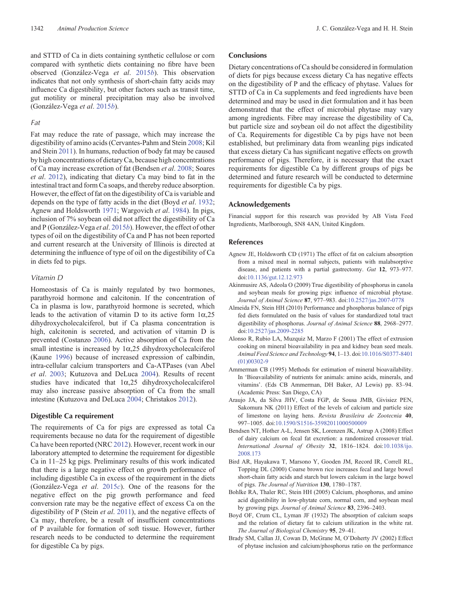<span id="page-3-0"></span>and STTD of Ca in diets containing synthetic cellulose or corn compared with synthetic diets containing no fibre have been observed (González-Vega *et al*. [2015](#page-4-0)*b*). This observation indicates that not only synthesis of short-chain fatty acids may influence Ca digestibility, but other factors such as transit time, gut motility or mineral precipitation may also be involved (González-Vega *et al*. [2015](#page-4-0)*b*).

# *Fat*

Fat may reduce the rate of passage, which may increase the digestibility of amino acids (Cervantes-Pahm and Stein [2008;](#page-4-0) Kil and Stein [2011](#page-4-0)). In humans, reduction of body fat may be caused by high concentrations of dietary Ca, because high concentrations of Ca may increase excretion of fat (Bendsen *et al*. 2008; Soares *et al*. [2012\)](#page-5-0), indicating that dietary Ca may bind to fat in the intestinal tract and form Ca soaps, and thereby reduce absorption. However, the effect of fat on the digestibility of Ca is variable and depends on the type of fatty acids in the diet (Boyd *et al*. 1932; Agnew and Holdsworth 1971; Wargovich *et al*. [1984](#page-5-0)). In pigs, inclusion of 7% soybean oil did not affect the digestibility of Ca and P (González-Vega *et al*. [2015](#page-4-0)*b*). However, the effect of other types of oil on the digestibility of Ca and P has not been reported and current research at the University of Illinois is directed at determining the influence of type of oil on the digestibility of Ca in diets fed to pigs.

## *Vitamin D*

Homeostasis of Ca is mainly regulated by two hormones, parathyroid hormone and calcitonin. If the concentration of Ca in plasma is low, parathyroid hormone is secreted, which leads to the activation of vitamin D to its active form  $1\alpha,25$ dihydroxycholecalciferol, but if Ca plasma concentration is high, calcitonin is secreted, and activation of vitamin D is prevented (Costanzo [2006](#page-4-0)). Active absorption of Ca from the small intestine is increased by  $1\alpha$ ,  $25$  dihydroxycholecalciferol (Kaune [1996\)](#page-4-0) because of increased expression of calbindin, intra-cellular calcium transporters and Ca-ATPases (van Abel *et al*. [2003;](#page-5-0) Kutuzova and DeLuca [2004](#page-4-0)). Results of recent studies have indicated that  $1\alpha,25$  dihydroxycholecalciferol may also increase passive absorption of Ca from the small intestine (Kutuzova and DeLuca [2004;](#page-4-0) Christakos [2012\)](#page-4-0).

# **Digestible Ca requirement**

The requirements of Ca for pigs are expressed as total Ca requirements because no data for the requirement of digestible Ca have been reported (NRC [2012](#page-4-0)). However, recent work in our laboratory attempted to determine the requirement for digestible Ca in 11–25 kg pigs. Preliminary results of this work indicated that there is a large negative effect on growth performance of including digestible Ca in excess of the requirement in the diets (González-Vega *et al*. [2015](#page-4-0)*c*). One of the reasons for the negative effect on the pig growth performance and feed conversion rate may be the negative effect of excess Ca on the digestibility of P (Stein *et al*. [2011\)](#page-5-0), and the negative effects of Ca may, therefore, be a result of insufficient concentrations of P available for formation of soft tissue. However, further research needs to be conducted to determine the requirement for digestible Ca by pigs.

# **Conclusions**

Dietary concentrations of Ca should be considered in formulation of diets for pigs because excess dietary Ca has negative effects on the digestibility of P and the efficacy of phytase. Values for STTD of Ca in Ca supplements and feed ingredients have been determined and may be used in diet formulation and it has been demonstrated that the effect of microbial phytase may vary among ingredients. Fibre may increase the digestibility of Ca, but particle size and soybean oil do not affect the digestibility of Ca. Requirements for digestible Ca by pigs have not been established, but preliminary data from weanling pigs indicated that excess dietary Ca has significant negative effects on growth performance of pigs. Therefore, it is necessary that the exact requirements for digestible Ca by different groups of pigs be determined and future research will be conducted to determine requirements for digestible Ca by pigs.

## **Acknowledgements**

Financial support for this research was provided by AB Vista Feed Ingredients, Marlborough, SN8 4AN, United Kingdom.

#### **References**

- Agnew JE, Holdsworth CD (1971) The effect of fat on calcium absorption from a mixed meal in normal subjects, patients with malabsorptive disease, and patients with a partial gastrectomy. *Gut* **12**, 973–977. doi:[10.1136/gut.12.12.973](dx.doi.org/10.1136/gut.12.12.973)
- Akinmusire AS, Adeola O (2009) True digestibility of phosphorus in canola and soybean meals for growing pigs: influence of microbial phytase. *Journal of Animal Science* **87**, 977–983. doi[:10.2527/jas.2007-0778](dx.doi.org/10.2527/jas.2007-0778)
- Almeida FN, Stein HH (2010) Performance and phosphorus balance of pigs fed diets formulated on the basis of values for standardized total tract digestibility of phosphorus. *Journal of Animal Science* **88**, 2968–2977. doi:[10.2527/jas.2009-2285](dx.doi.org/10.2527/jas.2009-2285)
- Alonso R, Rubio LA, Muzquiz M, Marzo F (2001) The effect of extrusion cooking on mineral bioavailability in pea and kidney bean seed meals. *Animal Feed Science and Technology* **94**, 1–13. doi[:10.1016/S0377-8401](dx.doi.org/10.1016/S0377-8401(01)00302-9) [\(01\)00302-9](dx.doi.org/10.1016/S0377-8401(01)00302-9)
- Ammerman CB (1995) Methods for estimation of mineral bioavailability. In 'Bioavailability of nutrients for animals: amino acids, minerals, and vitamins'. (Eds CB Ammerman, DH Baker, AJ Lewis) pp. 83–94. (Academic Press: San Diego, CA)
- Araujo JA, da Silva JHV, Costa FGP, de Sousa JMB, Givisiez PEN, Sakomura NK (2011) Effect of the levels of calcium and particle size of limestone on laying hens. *Revista Brasileira de Zootecnia* **40**, 997–1005. doi[:10.1590/S1516-35982011000500009](dx.doi.org/10.1590/S1516-35982011000500009)
- Bendsen NT, Hother A-L, Jensen SK, Lorenzen JK, Astrup A (2008) Effect of dairy calcium on fecal fat excretion: a randomized crossover trial. *International Journal of Obesity* **32**, 1816–1824. doi[:10.1038/ijo.](dx.doi.org/10.1038/ijo.2008.173) [2008.173](dx.doi.org/10.1038/ijo.2008.173)
- Bird AR, Hayakawa T, Marsono Y, Gooden JM, Record IR, Correll RL, Topping DL (2000) Coarse brown rice increases fecal and large bowel short-chain fatty acids and starch but lowers calcium in the large bowel of pigs. *The Journal of Nutrition* **130**, 1780–1787.
- Bohlke RA, Thaler RC, Stein HH (2005) Calcium, phosphorus, and amino acid digestibility in low-phytate corn, normal corn, and soybean meal by growing pigs. *Journal of Animal Science* **83**, 2396–2403.
- Boyd OF, Crum CL, Lyman JF (1932) The absorption of calcium soaps and the relation of dietary fat to calcium utilization in the white rat. *The Journal of Biological Chemistry* **95**, 29–41.
- Brady SM, Callan JJ, Cowan D, McGrane M, O'Doherty JV (2002) Effect of phytase inclusion and calcium/phosphorus ratio on the performance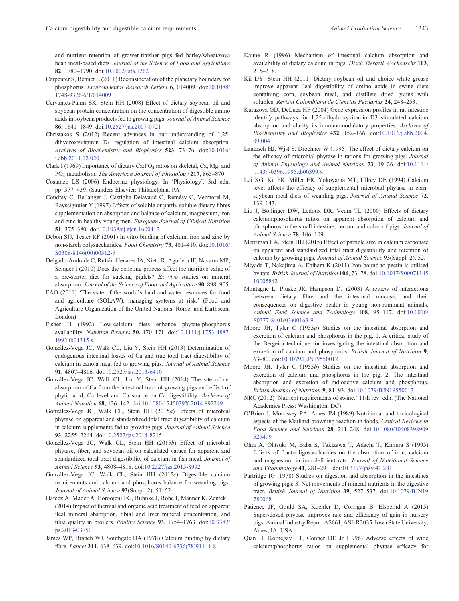<span id="page-4-0"></span>and nutrient retention of grower-finisher pigs fed barley/wheat/soya bean meal-based diets. *Journal of the Science of Food and Agriculture* **82**, 1780–1790. doi:[10.1002/jsfa.1262](dx.doi.org/10.1002/jsfa.1262)

- Carpenter S, Bennet E (2011) Reconsideration of the planetary boundary for phosphorus. *Environmental Research Letters* **6**, 014009. doi:[10.1088/](dx.doi.org/10.1088/1748-9326/6/1/014009) [1748-9326/6/1/014009](dx.doi.org/10.1088/1748-9326/6/1/014009)
- Cervantes-Pahm SK, Stein HH (2008) Effect of dietary soybean oil and soybean protein concentration on the concentration of digestible amino acids in soybean products fed to growing pigs. *Journal of Animal Science* **86**, 1841–1849. doi:[10.2527/jas.2007-0721](dx.doi.org/10.2527/jas.2007-0721)
- Christakos S (2012) Recent advances in our understanding of 1,25  $dihydroxyvitamin$   $D_3$  regulation of intestinal calcium absorption. *Archives of Biochemistry and Biophysics* **523**, 73–76. doi:[10.1016/](dx.doi.org/10.1016/j.abb.2011.12.020) [j.abb.2011.12.020](dx.doi.org/10.1016/j.abb.2011.12.020)
- Clark I (1969) Importance of dietary Ca:  $PO_4$  ratios on skeletal, Ca, Mg, and PO4 metabolism. *The American Journal of Physiology* **217**, 865–870.
- Costanzo LS (2006) Endocrine physiology. In 'Physiology'. 3rd edn. pp. 377–439. (Saunders Elsevier: Philadelphia, PA)
- Coudray C, Bellanger J, Castiglia-Delavaud C, Rémésy C, Vermorel M, Rayssignuier Y (1997) Effects of soluble or partly soluble dietary fibres supplementation on absorption and balance of calcium, magnesium, iron and zinc in healthy young men. *European Journal of Clinical Nutrition* **51**, 375–380. doi[:10.1038/sj.ejcn.1600417](dx.doi.org/10.1038/sj.ejcn.1600417)
- Debon SJJ, Tester RF (2001) In vitro binding of calcium, iron and zinc by non-starch polysaccharides. *Food Chemistry* **73**, 401–410. doi:[10.1016/](dx.doi.org/10.1016/S0308-8146(00)00312-5) [S0308-8146\(00\)00312-5](dx.doi.org/10.1016/S0308-8146(00)00312-5)
- Delgado-Andrade C, Rufián-Henares JA, Nieto R, Aguilera JF, Navarro MP, Seiquer I (2010) Does the pelleting process affect the nutritive value of a pre-starter diet for sucking piglets? *Ex vivo* studies on mineral absorption. *Journal of the Science of Food and Agriculture* **90**, 898–905.
- FAO (2011) 'The state of the world's land and water resources for food and agriculture (SOLAW): managing systems at risk.' (Food and Agriculture Organization of the United Nations: Rome; and Earthscan: London)

Fisher H (1992) Low-calcium diets enhance phytate-phosphorus availability. *Nutrition Reviews* **50**, 170–171. doi[:10.1111/j.1753-4887.](dx.doi.org/10.1111/j.1753-4887.1992.tb01315.x) [1992.tb01315.x](dx.doi.org/10.1111/j.1753-4887.1992.tb01315.x)

- González-Vega JC, Walk CL, Liu Y, Stein HH (2013) Determination of endogenous intestinal losses of Ca and true total tract digestibility of calcium in canola meal fed to growing pigs. *Journal of Animal Science* **91**, 4807–4816. doi:[10.2527/jas.2013-6410](dx.doi.org/10.2527/jas.2013-6410)
- González-Vega JC, Walk CL, Liu Y, Stein HH (2014) The site of net absorption of Ca from the intestinal tract of growing pigs and effect of phytic acid, Ca level and Ca source on Ca digestibility. *Archives of Animal Nutrition* **68**, 126–142. doi[:10.1080/1745039X.2014.892249](dx.doi.org/10.1080/1745039X.2014.892249)
- González-Vega JC, Walk CL, Stein HH (2015*a*) Effects of microbial phytase on apparent and standardized total tract digestibility of calcium in calcium supplements fed to growing pigs. *Journal of Animal Science* **93**, 2255–2264. doi:[10.2527/jas.2014-8215](dx.doi.org/10.2527/jas.2014-8215)
- González-Vega JC, Walk CL, Stein HH (2015*b*) Effect of microbial phytase, fiber, and soybean oil on calculated values for apparent and standardized total tract digestibility of calcium in fish meal. *Journal of Animal Science* **93**, 4808–4818. doi[:10.2527/jas.2015-8992](dx.doi.org/10.2527/jas.2015-8992)
- González-Vega JC, Walk CL, Stein HH (2015*c*) Digestible calcium requirements and calcium and phosphorus balance for weanling pigs. *Journal of Animal Science* **93**(Suppl. 2), 51–52.
- Hafeez A, Mader A, Boroojeni FG, Ruhnke I, Röhe I, Männer K, Zentek J (2014) Impact of thermal and organic acid treatment of feed on apparent ileal mineral absorption, tibial and liver mineral concentration, and tibia quality in broilers. *Poultry Science* **93**, 1754–1763. doi:[10.3382/](dx.doi.org/10.3382/ps.2013-03750) [ps.2013-03750](dx.doi.org/10.3382/ps.2013-03750)
- James WP, Branch WJ, Southgate DA (1978) Calcium binding by dietary fibre. *Lancet* **311**, 638–639. doi[:10.1016/S0140-6736\(78\)91141-8](dx.doi.org/10.1016/S0140-6736(78)91141-8)
- Kaune R (1996) Mechanism of intestinal calcium absorption and availability of dietary calcium in pigs. *Dtsch Tieraztl Wochenschr* **103**, 215–218.
- Kil DY, Stein HH (2011) Dietary soybean oil and choice white grease improve apparent ileal digestibility of amino acids in swine diets containing corn, soybean meal, and distillers dried grains with solubles. *Revista Colombiana de Ciencias Pecuarias* **24**, 248–253.
- Kutuzova GD, DeLuca HF (2004) Gene expression profiles in rat intestine identify pathways for 1,25-dihydroxyvitamin D3 stimulated calcium absorption and clarify its immunomodulatory properties. *Archives of Biochemistry and Biophysics* **432**, 152–166. doi[:10.1016/j.abb.2004.](dx.doi.org/10.1016/j.abb.2004.09.004) [09.004](dx.doi.org/10.1016/j.abb.2004.09.004)
- Lantzsch HJ, Wjst S, Drochner W (1995) The effect of dietary calcium on the efficacy of microbial phytase in rations for growing pigs. *Journal of Animal Physiology and Animal Nutrition* **73**, 19–26. doi:[10.1111/](dx.doi.org/10.1111/j.1439-0396.1995.tb00399.x) [j.1439-0396.1995.tb00399.x](dx.doi.org/10.1111/j.1439-0396.1995.tb00399.x)
- Lei XG, Ku PK, Miller ER, Yokoyama MT, Ullrey DE (1994) Calcium level affects the efficacy of supplemental microbial phytase in cornsoybean meal diets of weanling pigs. *Journal of Animal Science* **72**, 139–143.
- Liu J, Bollinger DW, Ledoux DR, Veum TL (2000) Effects of dietary calcium:phosphorus ratios on apparent absorption of calcium and phosphorus in the small intestine, cecum, and colon of pigs. *Journal of Animal Science* **78**, 106–109.
- Merriman LA, Stein HH (2015) Effect of particle size in calcium carbonate on apparent and standardized total tract digestibility and retention of calcium by growing pigs. *Journal of Animal Science* **93**(Suppl. 2), 52.
- Miyada T, Nakajima A, Ebihara K (2011) Iron bound to pectin is utilised by rats. *British Journal of Nutrition* **106**, 73–78. doi:[10.1017/S00071145](dx.doi.org/10.1017/S0007114510005842) [10005842](dx.doi.org/10.1017/S0007114510005842)
- Montagne L, Pluske JR, Hampson DJ (2003) A review of interactions between dietary fibre and the intestinal mucosa, and their consequences on digestive health in young non-ruminant animals. *Animal Feed Science and Technology* **108**, 95–117. doi:[10.1016/](dx.doi.org/10.1016/S0377-8401(03)00163-9) [S0377-8401\(03\)00163-9](dx.doi.org/10.1016/S0377-8401(03)00163-9)
- Moore JH, Tyler C (1955*a*) Studies on the intestinal absorption and excretion of calcium and phosphorus in the pig. 1. A critical study of the Bergeim technique for investigating the intestinal absorption and excretion of calcium and phosphorus. *British Journal of Nutrition* **9**, 63–80. doi:[10.1079/BJN19550012](dx.doi.org/10.1079/BJN19550012)
- Moore JH, Tyler C (1955*b*) Studies on the intestinal absorption and excretion of calcium and phosphorus in the pig. 2. The intestinal absorption and excretion of radioactive calcium and phosphorus. *British Journal of Nutrition* **9**, 81–93. doi:[10.1079/BJN19550013](dx.doi.org/10.1079/BJN19550013)
- NRC (2012) 'Nutrient requirements of swine.' 11th rev. edn. (The National Academies Press: Washington, DC)
- O'Brien J, Morrissey PA, Ames JM (1989) Nutritional and toxicological aspects of the Maillard browning reaction in foods. *Critical Reviews in Food Science and Nutrition* **28**, 211–248. doi:[10.1080/10408398909](dx.doi.org/10.1080/10408398909527499) [527499](dx.doi.org/10.1080/10408398909527499)
- Ohta A, Ohtsuki M, Baba S, Takizawa T, Adachi T, Kimura S (1995) Effects of fructooligosaccharides on the absorption of iron, calcium and magnesium in iron-deficient rats. *Journal of Nutritional Science and Vitaminology* **41**, 281–291. doi:[10.3177/jnsv.41.281](dx.doi.org/10.3177/jnsv.41.281)
- Partridge IG (1978) Studies on digestion and absorption in the intestines of growing pigs: 3. Net movements of mineral nutrients in the digestive tract. *British Journal of Nutrition* **39**, 527–537. doi:[10.1079/BJN19](dx.doi.org/10.1079/BJN19780068) [780068](dx.doi.org/10.1079/BJN19780068)
- Patience JF, Gould SA, Koehler D, Corrigan B, Elsbernd A (2015) Super-dosed phytase improves rate and efficiency of gain in nursery pigs. Animal Industry Report AS661, ASL R3035. Iowa State University, Ames, IA, USA.
- Qian H, Kornegay ET, Conner DE Jr (1996) Adverse effects of wide calcium:phosphorus ratios on supplemental phytase efficacy for